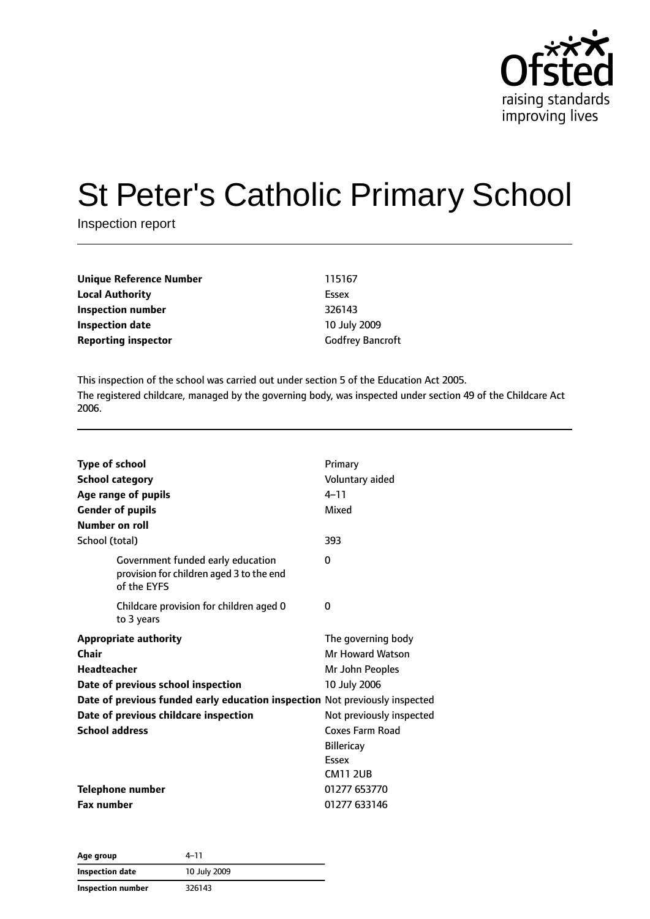

# St Peter's Catholic Primary School

Inspection report

| Unique Reference Number    | 115167                  |
|----------------------------|-------------------------|
| Local Authority            | Essex                   |
| Inspection number          | 326143                  |
| Inspection date            | 10 July 2009            |
| <b>Reporting inspector</b> | <b>Godfrey Bancroft</b> |

This inspection of the school was carried out under section 5 of the Education Act 2005. The registered childcare, managed by the governing body, was inspected under section 49 of the Childcare Act 2006.

| <b>Type of school</b>                                                                        | Primary                  |
|----------------------------------------------------------------------------------------------|--------------------------|
| <b>School category</b>                                                                       | Voluntary aided          |
| Age range of pupils                                                                          | $4 - 11$                 |
| <b>Gender of pupils</b>                                                                      | Mixed                    |
| Number on roll                                                                               |                          |
| School (total)                                                                               | 393                      |
| Government funded early education<br>provision for children aged 3 to the end<br>of the EYFS | $\Omega$                 |
| Childcare provision for children aged 0<br>to 3 years                                        | 0                        |
| <b>Appropriate authority</b>                                                                 | The governing body       |
| Chair                                                                                        | <b>Mr Howard Watson</b>  |
| <b>Headteacher</b>                                                                           | Mr John Peoples          |
| Date of previous school inspection                                                           | 10 July 2006             |
| Date of previous funded early education inspection Not previously inspected                  |                          |
| Date of previous childcare inspection                                                        | Not previously inspected |
| <b>School address</b>                                                                        | Coxes Farm Road          |
|                                                                                              | <b>Billericay</b>        |
|                                                                                              | Essex                    |
|                                                                                              | <b>CM11 2UB</b>          |
| <b>Telephone number</b>                                                                      | 01277 653770             |
| <b>Fax number</b>                                                                            | 01277 633146             |

| Age group         | 4–11         |  |
|-------------------|--------------|--|
| Inspection date   | 10 July 2009 |  |
| Inspection number | 326143       |  |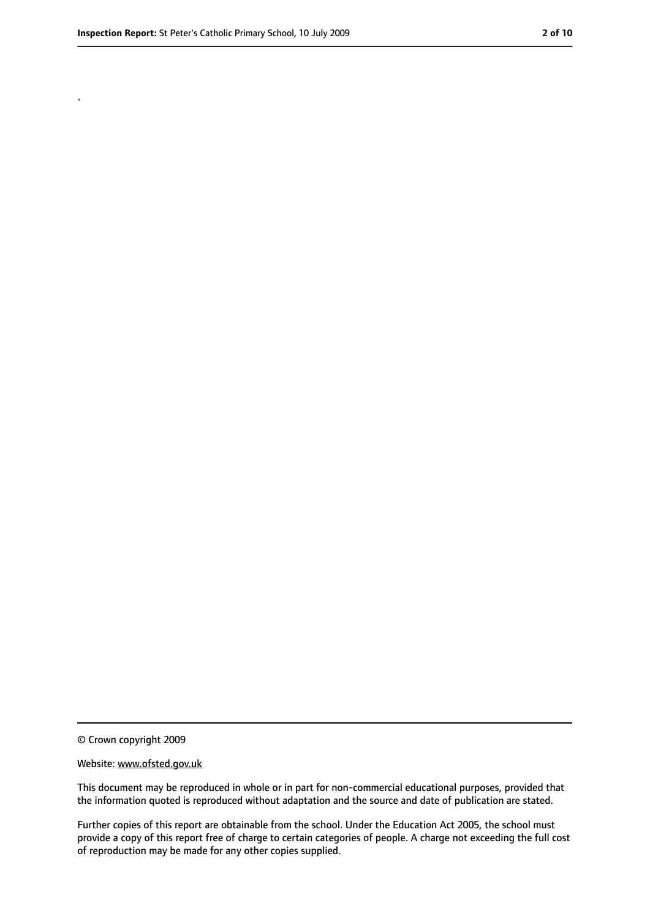.

<sup>©</sup> Crown copyright 2009

Website: www.ofsted.gov.uk

This document may be reproduced in whole or in part for non-commercial educational purposes, provided that the information quoted is reproduced without adaptation and the source and date of publication are stated.

Further copies of this report are obtainable from the school. Under the Education Act 2005, the school must provide a copy of this report free of charge to certain categories of people. A charge not exceeding the full cost of reproduction may be made for any other copies supplied.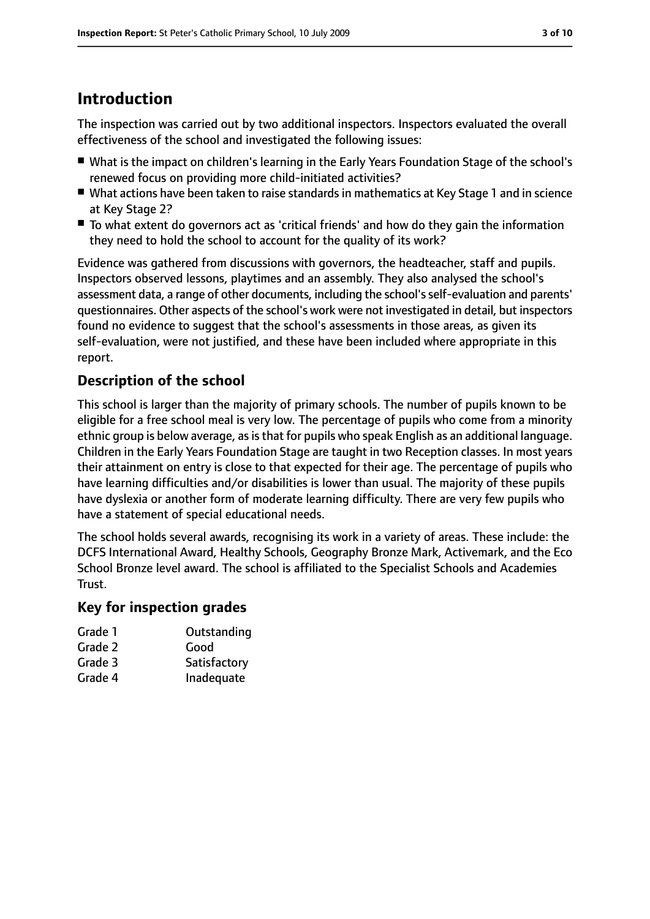## **Introduction**

The inspection was carried out by two additional inspectors. Inspectors evaluated the overall effectiveness of the school and investigated the following issues:

- What is the impact on children's learning in the Early Years Foundation Stage of the school's renewed focus on providing more child-initiated activities?
- What actions have been taken to raise standards in mathematics at Key Stage 1 and in science at Key Stage 2?
- To what extent do governors act as 'critical friends' and how do they gain the information they need to hold the school to account for the quality of its work?

Evidence was gathered from discussions with governors, the headteacher, staff and pupils. Inspectors observed lessons, playtimes and an assembly. They also analysed the school's assessment data, a range of other documents, including the school'sself-evaluation and parents' questionnaires. Other aspects of the school's work were not investigated in detail, but inspectors found no evidence to suggest that the school's assessments in those areas, as given its self-evaluation, were not justified, and these have been included where appropriate in this report.

#### **Description of the school**

This school is larger than the majority of primary schools. The number of pupils known to be eligible for a free school meal is very low. The percentage of pupils who come from a minority ethnic group is below average, as is that for pupils who speak English as an additional language. Children in the Early Years Foundation Stage are taught in two Reception classes. In most years their attainment on entry is close to that expected for their age. The percentage of pupils who have learning difficulties and/or disabilities is lower than usual. The majority of these pupils have dyslexia or another form of moderate learning difficulty. There are very few pupils who have a statement of special educational needs.

The school holds several awards, recognising its work in a variety of areas. These include: the DCFS International Award, Healthy Schools, Geography Bronze Mark, Activemark, and the Eco School Bronze level award. The school is affiliated to the Specialist Schools and Academies Trust.

#### **Key for inspection grades**

| Grade 1 | Outstanding  |
|---------|--------------|
| Grade 2 | Good         |
| Grade 3 | Satisfactory |

Grade 4 Inadequate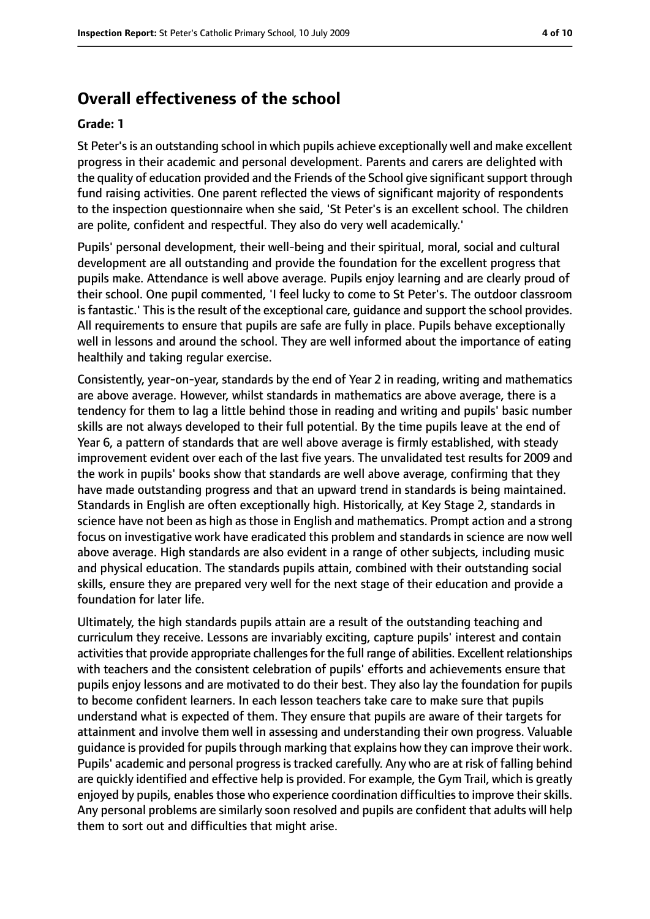### **Overall effectiveness of the school**

#### **Grade: 1**

St Peter'sis an outstanding school in which pupils achieve exceptionally well and make excellent progress in their academic and personal development. Parents and carers are delighted with the quality of education provided and the Friends of the School give significantsupport through fund raising activities. One parent reflected the views of significant majority of respondents to the inspection questionnaire when she said, 'St Peter's is an excellent school. The children are polite, confident and respectful. They also do very well academically.'

Pupils' personal development, their well-being and their spiritual, moral, social and cultural development are all outstanding and provide the foundation for the excellent progress that pupils make. Attendance is well above average. Pupils enjoy learning and are clearly proud of their school. One pupil commented, 'I feel lucky to come to St Peter's. The outdoor classroom is fantastic.' This is the result of the exceptional care, guidance and support the school provides. All requirements to ensure that pupils are safe are fully in place. Pupils behave exceptionally well in lessons and around the school. They are well informed about the importance of eating healthily and taking regular exercise.

Consistently, year-on-year, standards by the end of Year 2 in reading, writing and mathematics are above average. However, whilst standards in mathematics are above average, there is a tendency for them to lag a little behind those in reading and writing and pupils' basic number skills are not always developed to their full potential. By the time pupils leave at the end of Year 6, a pattern of standards that are well above average is firmly established, with steady improvement evident over each of the last five years. The unvalidated test results for 2009 and the work in pupils' books show that standards are well above average, confirming that they have made outstanding progress and that an upward trend in standards is being maintained. Standards in English are often exceptionally high. Historically, at Key Stage 2, standards in science have not been as high as those in English and mathematics. Prompt action and a strong focus on investigative work have eradicated this problem and standards in science are now well above average. High standards are also evident in a range of other subjects, including music and physical education. The standards pupils attain, combined with their outstanding social skills, ensure they are prepared very well for the next stage of their education and provide a foundation for later life.

Ultimately, the high standards pupils attain are a result of the outstanding teaching and curriculum they receive. Lessons are invariably exciting, capture pupils' interest and contain activities that provide appropriate challenges for the full range of abilities. Excellent relationships with teachers and the consistent celebration of pupils' efforts and achievements ensure that pupils enjoy lessons and are motivated to do their best. They also lay the foundation for pupils to become confident learners. In each lesson teachers take care to make sure that pupils understand what is expected of them. They ensure that pupils are aware of their targets for attainment and involve them well in assessing and understanding their own progress. Valuable guidance is provided for pupils through marking that explains how they can improve their work. Pupils' academic and personal progress is tracked carefully. Any who are at risk of falling behind are quickly identified and effective help is provided. For example, the Gym Trail, which is greatly enjoyed by pupils, enables those who experience coordination difficulties to improve their skills. Any personal problems are similarly soon resolved and pupils are confident that adults will help them to sort out and difficulties that might arise.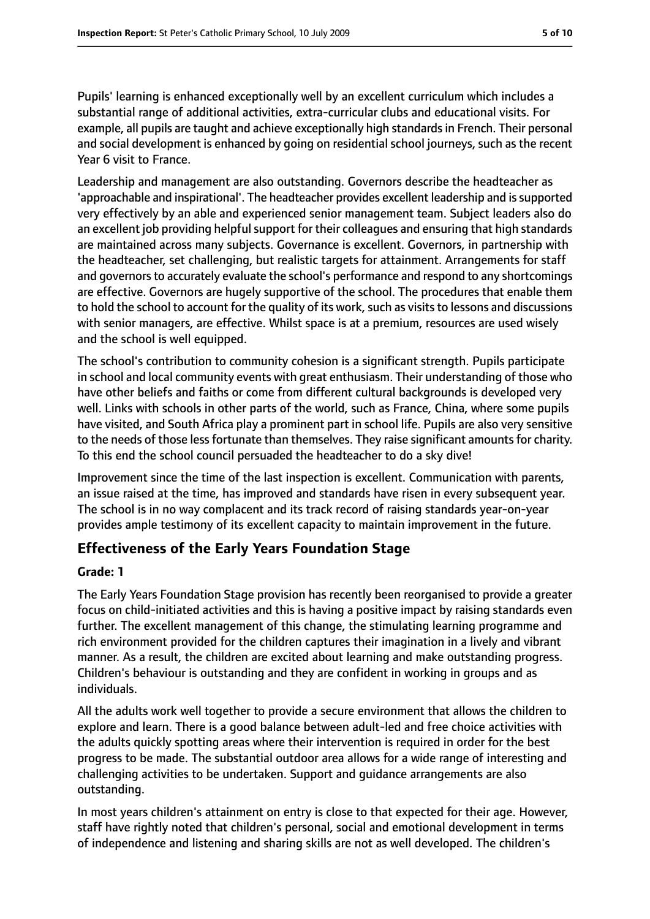Pupils' learning is enhanced exceptionally well by an excellent curriculum which includes a substantial range of additional activities, extra-curricular clubs and educational visits. For example, all pupils are taught and achieve exceptionally high standardsin French. Their personal and social development is enhanced by going on residential school journeys, such as the recent Year 6 visit to France.

Leadership and management are also outstanding. Governors describe the headteacher as 'approachable and inspirational'. The headteacher provides excellent leadership and is supported very effectively by an able and experienced senior management team. Subject leaders also do an excellent job providing helpful support for their colleagues and ensuring that high standards are maintained across many subjects. Governance is excellent. Governors, in partnership with the headteacher, set challenging, but realistic targets for attainment. Arrangements for staff and governors to accurately evaluate the school's performance and respond to any shortcomings are effective. Governors are hugely supportive of the school. The procedures that enable them to hold the school to account for the quality of its work, such as visits to lessons and discussions with senior managers, are effective. Whilst space is at a premium, resources are used wisely and the school is well equipped.

The school's contribution to community cohesion is a significant strength. Pupils participate in school and local community events with great enthusiasm. Their understanding of those who have other beliefs and faiths or come from different cultural backgrounds is developed very well. Links with schools in other parts of the world, such as France, China, where some pupils have visited, and South Africa play a prominent part in school life. Pupils are also very sensitive to the needs of those less fortunate than themselves. They raise significant amounts for charity. To this end the school council persuaded the headteacher to do a sky dive!

Improvement since the time of the last inspection is excellent. Communication with parents, an issue raised at the time, has improved and standards have risen in every subsequent year. The school is in no way complacent and its track record of raising standards year-on-year provides ample testimony of its excellent capacity to maintain improvement in the future.

#### **Effectiveness of the Early Years Foundation Stage**

#### **Grade: 1**

The Early Years Foundation Stage provision has recently been reorganised to provide a greater focus on child-initiated activities and this is having a positive impact by raising standards even further. The excellent management of this change, the stimulating learning programme and rich environment provided for the children captures their imagination in a lively and vibrant manner. As a result, the children are excited about learning and make outstanding progress. Children's behaviour is outstanding and they are confident in working in groups and as individuals.

All the adults work well together to provide a secure environment that allows the children to explore and learn. There is a good balance between adult-led and free choice activities with the adults quickly spotting areas where their intervention is required in order for the best progress to be made. The substantial outdoor area allows for a wide range of interesting and challenging activities to be undertaken. Support and guidance arrangements are also outstanding.

In most years children's attainment on entry is close to that expected for their age. However, staff have rightly noted that children's personal, social and emotional development in terms of independence and listening and sharing skills are not as well developed. The children's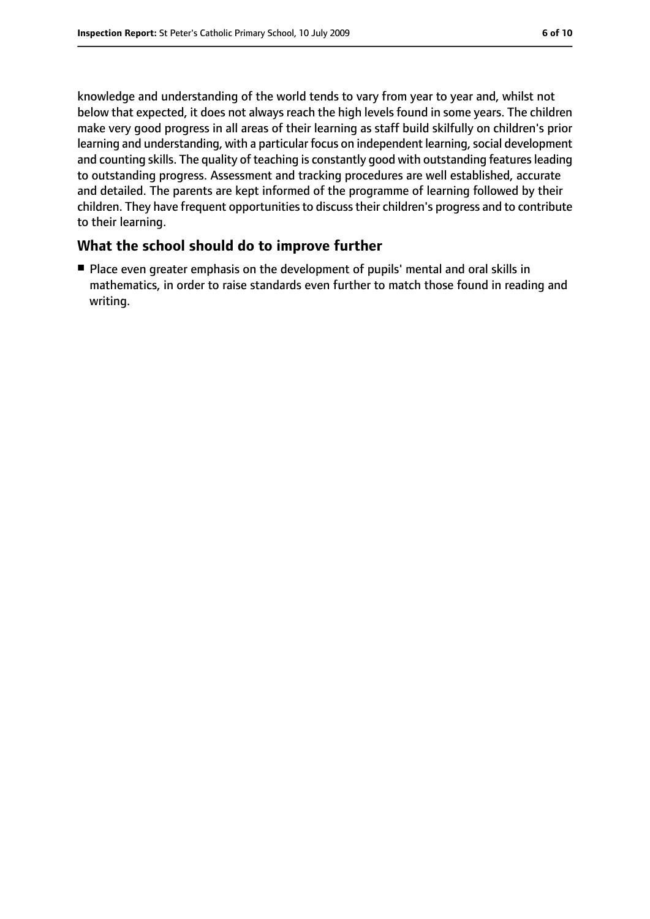knowledge and understanding of the world tends to vary from year to year and, whilst not below that expected, it does not always reach the high levels found in some years. The children make very good progress in all areas of their learning as staff build skilfully on children's prior learning and understanding, with a particular focus on independent learning, social development and counting skills. The quality of teaching is constantly good with outstanding features leading to outstanding progress. Assessment and tracking procedures are well established, accurate and detailed. The parents are kept informed of the programme of learning followed by their children. They have frequent opportunities to discuss their children's progress and to contribute to their learning.

#### **What the school should do to improve further**

■ Place even greater emphasis on the development of pupils' mental and oral skills in mathematics, in order to raise standards even further to match those found in reading and writing.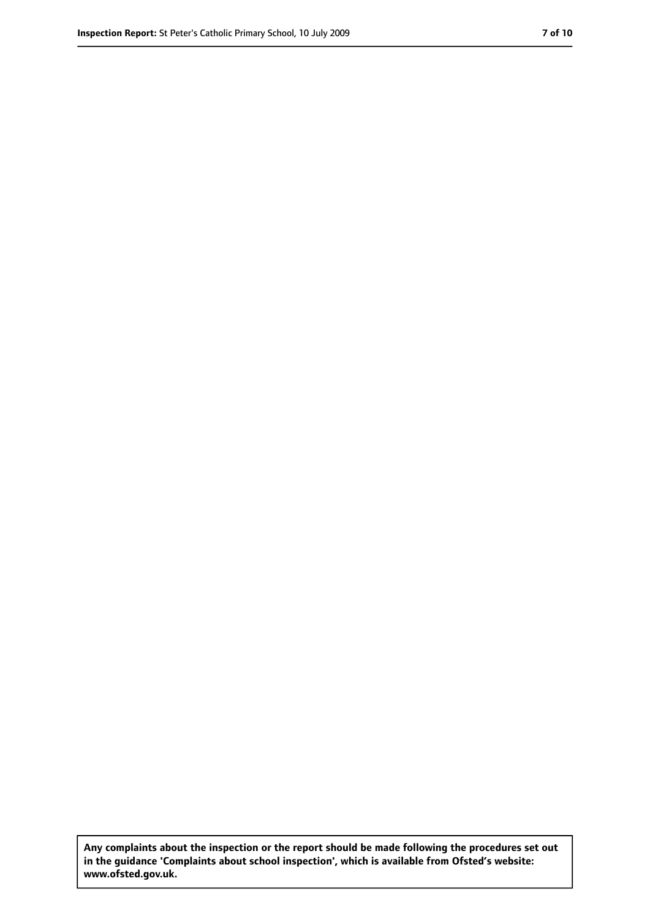**Any complaints about the inspection or the report should be made following the procedures set out in the guidance 'Complaints about school inspection', which is available from Ofsted's website: www.ofsted.gov.uk.**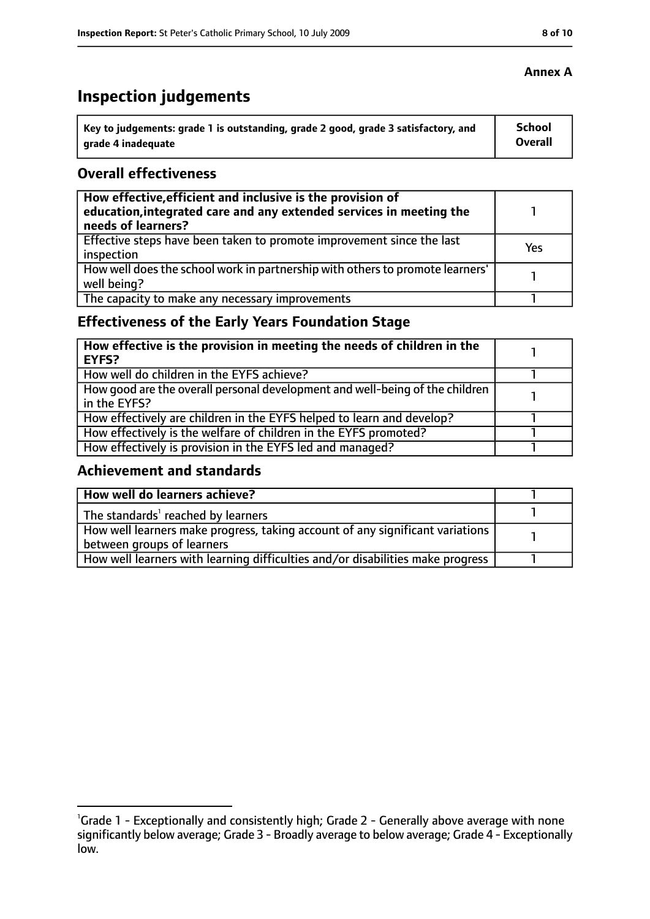# **Inspection judgements**

| Key to judgements: grade 1 is outstanding, grade 2 good, grade 3 satisfactory, and | School  |
|------------------------------------------------------------------------------------|---------|
| arade 4 inadequate                                                                 | Overall |

#### **Overall effectiveness**

| How effective, efficient and inclusive is the provision of<br>education, integrated care and any extended services in meeting the<br>needs of learners? |     |
|---------------------------------------------------------------------------------------------------------------------------------------------------------|-----|
| Effective steps have been taken to promote improvement since the last<br>inspection                                                                     | Yes |
| How well does the school work in partnership with others to promote learners'<br>well being?                                                            |     |
| The capacity to make any necessary improvements                                                                                                         |     |

### **Effectiveness of the Early Years Foundation Stage**

| How effective is the provision in meeting the needs of children in the<br><b>EYFS?</b>       |  |
|----------------------------------------------------------------------------------------------|--|
| How well do children in the EYFS achieve?                                                    |  |
| How good are the overall personal development and well-being of the children<br>in the EYFS? |  |
| How effectively are children in the EYFS helped to learn and develop?                        |  |
| How effectively is the welfare of children in the EYFS promoted?                             |  |
| How effectively is provision in the EYFS led and managed?                                    |  |

#### **Achievement and standards**

| How well do learners achieve?                                                               |  |
|---------------------------------------------------------------------------------------------|--|
| $\vert$ The standards <sup>1</sup> reached by learners                                      |  |
| $\mid$ How well learners make progress, taking account of any significant variations $\mid$ |  |
| between groups of learners                                                                  |  |
| How well learners with learning difficulties and/or disabilities make progress              |  |

<sup>&</sup>lt;sup>1</sup>Grade 1 - Exceptionally and consistently high; Grade 2 - Generally above average with none significantly below average; Grade 3 - Broadly average to below average; Grade 4 - Exceptionally low.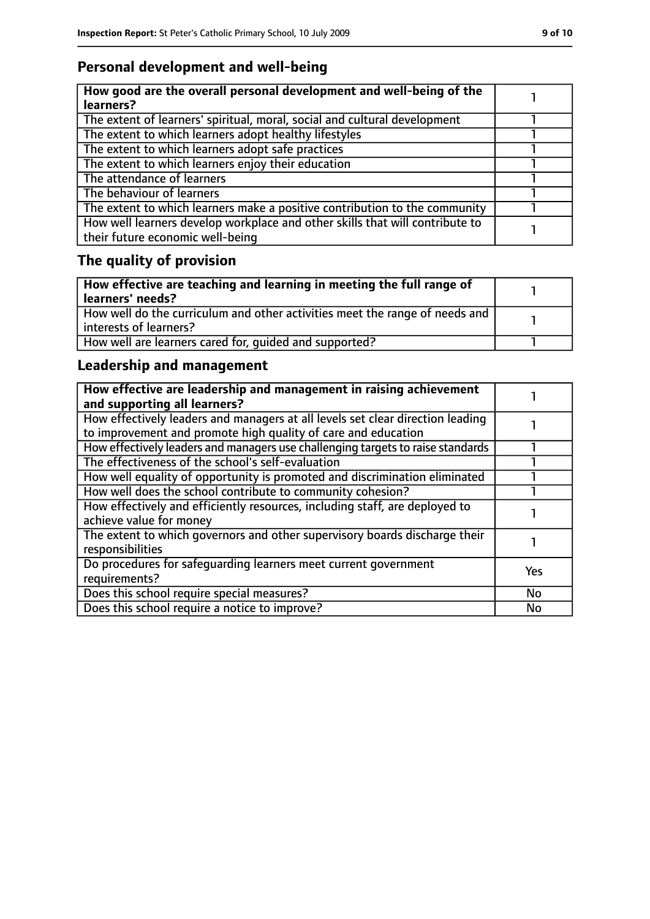### **Personal development and well-being**

| How good are the overall personal development and well-being of the<br>learners?                                 |  |
|------------------------------------------------------------------------------------------------------------------|--|
| The extent of learners' spiritual, moral, social and cultural development                                        |  |
| The extent to which learners adopt healthy lifestyles                                                            |  |
| The extent to which learners adopt safe practices                                                                |  |
| The extent to which learners enjoy their education                                                               |  |
| The attendance of learners                                                                                       |  |
| The behaviour of learners                                                                                        |  |
| The extent to which learners make a positive contribution to the community                                       |  |
| How well learners develop workplace and other skills that will contribute to<br>their future economic well-being |  |

# **The quality of provision**

| How effective are teaching and learning in meeting the full range of<br>learners' needs?              |  |
|-------------------------------------------------------------------------------------------------------|--|
| How well do the curriculum and other activities meet the range of needs and<br>interests of learners? |  |
| How well are learners cared for, quided and supported?                                                |  |

### **Leadership and management**

| How effective are leadership and management in raising achievement<br>and supporting all learners?                                              |            |
|-------------------------------------------------------------------------------------------------------------------------------------------------|------------|
| How effectively leaders and managers at all levels set clear direction leading<br>to improvement and promote high quality of care and education |            |
| How effectively leaders and managers use challenging targets to raise standards                                                                 |            |
| The effectiveness of the school's self-evaluation                                                                                               |            |
| How well equality of opportunity is promoted and discrimination eliminated                                                                      |            |
| How well does the school contribute to community cohesion?                                                                                      |            |
| How effectively and efficiently resources, including staff, are deployed to<br>achieve value for money                                          |            |
| The extent to which governors and other supervisory boards discharge their<br>responsibilities                                                  |            |
| Do procedures for safequarding learners meet current government<br>requirements?                                                                | <b>Yes</b> |
| Does this school require special measures?                                                                                                      | <b>No</b>  |
| Does this school require a notice to improve?                                                                                                   | No         |